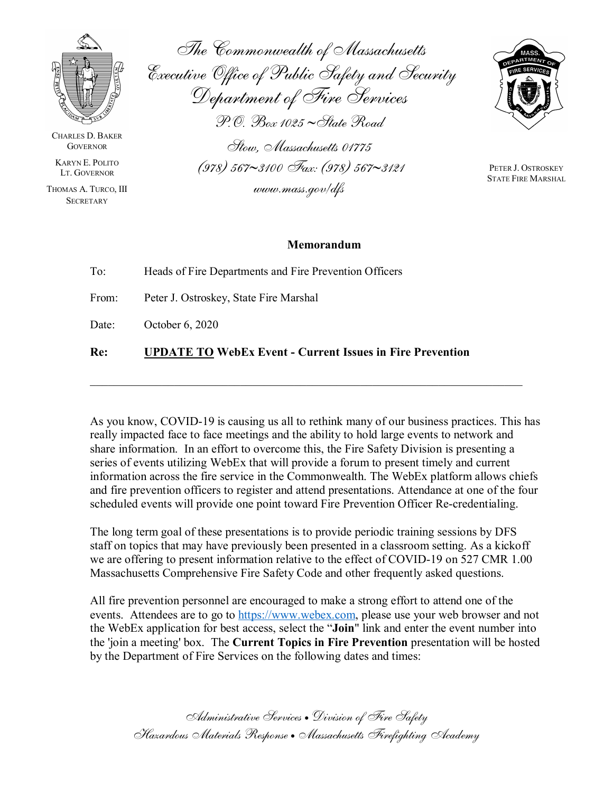

CHARLES D. BAKER **GOVERNOR** 

KARYN E. POLITO LT. GOVERNOR

THOMAS A. TURCO, III **SECRETARY** 

The Commonwealth of Massachusetts Executive Office of Public Safety and Security Department of Fire Services P.O. Box 1025 ∼State Road Stow, Massachusetts 01775 (978) 567∼3100 Fax: (978) 567∼3121 www.mass.gov/dfs

PETER J. OSTROSKEY STATE FIRE MARSHAL

## **Memorandum**

| Re:   | <b>UPDATE TO WebEx Event - Current Issues in Fire Prevention</b> |
|-------|------------------------------------------------------------------|
| Date: | October 6, 2020                                                  |
| From: | Peter J. Ostroskey, State Fire Marshal                           |
| To:   | Heads of Fire Departments and Fire Prevention Officers           |

As you know, COVID-19 is causing us all to rethink many of our business practices. This has really impacted face to face meetings and the ability to hold large events to network and share information. In an effort to overcome this, the Fire Safety Division is presenting a series of events utilizing WebEx that will provide a forum to present timely and current information across the fire service in the Commonwealth. The WebEx platform allows chiefs and fire prevention officers to register and attend presentations. Attendance at one of the four scheduled events will provide one point toward Fire Prevention Officer Re-credentialing.

The long term goal of these presentations is to provide periodic training sessions by DFS staff on topics that may have previously been presented in a classroom setting. As a kickoff we are offering to present information relative to the effect of COVID-19 on 527 CMR 1.00 Massachusetts Comprehensive Fire Safety Code and other frequently asked questions.

All fire prevention personnel are encouraged to make a strong effort to attend one of the events. Attendees are to go to [https://www.webex.com,](https://www.webex.com/) please use your web browser and not the WebEx application for best access, select the "**Join**" link and enter the event number into the 'join a meeting' box. The **Current Topics in Fire Prevention** presentation will be hosted by the Department of Fire Services on the following dates and times:

Administrative Services • Division of Fire Safety Hazardous Materials Response • Massachusetts Firefighting Academy